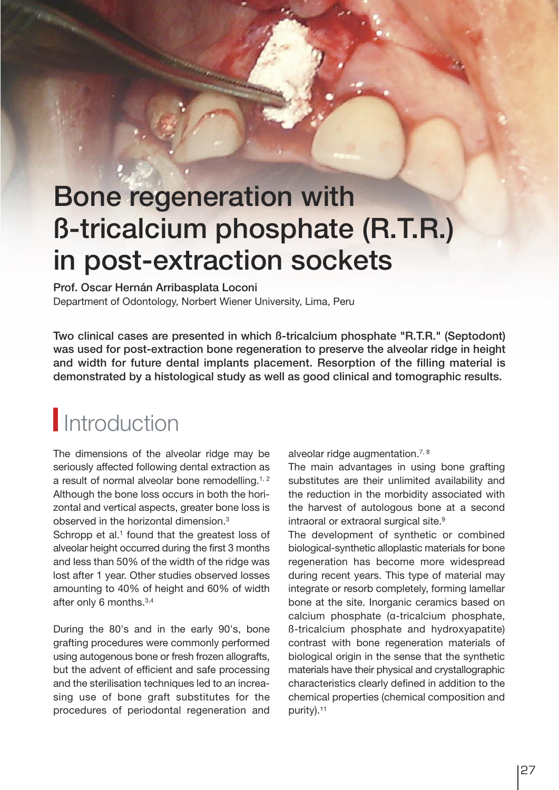# Bone regeneration with ß-tricalcium phosphate (R.T.R.) in post-extraction sockets

Prof. Oscar Hernán Arribasplata Loconi Department of Odontology, Norbert Wiener University, Lima, Peru

Two clinical cases are presented in which ß-tricalcium phosphate "R.T.R." (Septodont) was used for post-extraction bone regeneration to preserve the alveolar ridge in height and width for future dental implants placement. Resorption of the filling material is demonstrated by a histological study as well as good clinical and tomographic results.

### **Introduction**

The dimensions of the alveolar ridge may be seriously affected following dental extraction as a result of normal alveolar bone remodelling.<sup>1, 2</sup> Although the bone loss occurs in both the horizontal and vertical aspects, greater bone loss is observed in the horizontal dimension. 3

Schropp et al.<sup>1</sup> found that the greatest loss of alveolar height occurred during the first 3 months and less than 50% of the width of the ridge was lost after 1 year. Other studies observed losses amounting to 40% of height and 60% of width after only 6 months.<sup>3,4</sup>

During the 80's and in the early 90's, bone grafting procedures were commonly performed using autogenous bone or fresh frozen allografts, but the advent of efficient and safe processing and the sterilisation techniques led to an increasing use of bone graft substitutes for the procedures of periodontal regeneration and alveolar ridge augmentation.<sup>7, 8</sup>

The main advantages in using bone grafting substitutes are their unlimited availability and the reduction in the morbidity associated with the harvest of autologous bone at a second intraoral or extraoral surgical site.<sup>9</sup>

The development of synthetic or combined biological-synthetic alloplastic materials for bone regeneration has become more widespread during recent years. This type of material may integrate or resorb completely, forming lamellar bone at the site. Inorganic ceramics based on calcium phosphate (α-tricalcium phosphate, ß-tricalcium phosphate and hydroxyapatite) contrast with bone regeneration materials of biological origin in the sense that the synthetic materials have their physical and crystallographic characteristics clearly defined in addition to the chemical properties (chemical composition and purity). 11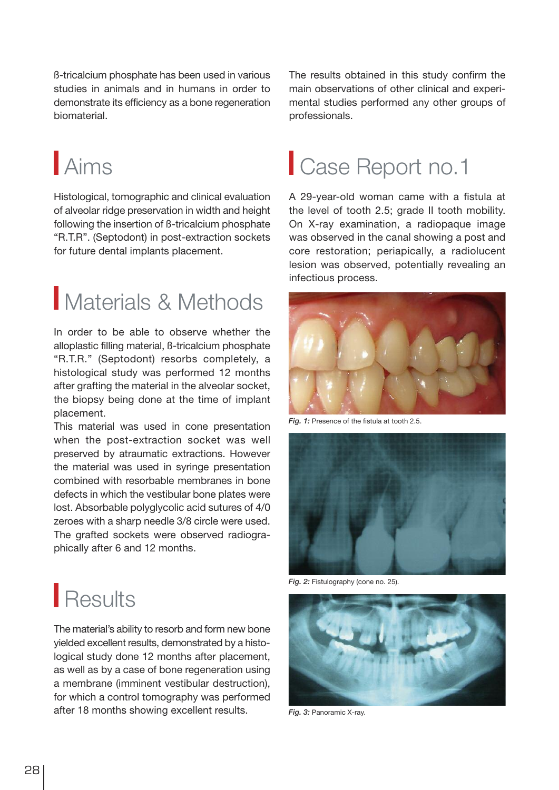ß-tricalcium phosphate has been used in various studies in animals and in humans in order to demonstrate its efficiency as a bone regeneration biomaterial.

# Aims

Histological, tomographic and clinical evaluation of alveolar ridge preservation in width and height following the insertion of ß-tricalcium phosphate "R.T.R". (Septodont) in post-extraction sockets for future dental implants placement.

### Materials & Methods

In order to be able to observe whether the alloplastic filling material, ß-tricalcium phosphate "R.T.R." (Septodont) resorbs completely, a histological study was performed 12 months after grafting the material in the alveolar socket, the biopsy being done at the time of implant placement.

This material was used in cone presentation when the post-extraction socket was well preserved by atraumatic extractions. However the material was used in syringe presentation combined with resorbable membranes in bone defects in which the vestibular bone plates were lost. Absorbable polyglycolic acid sutures of 4/0 zeroes with a sharp needle 3/8 circle were used. The grafted sockets were observed radiographically after 6 and 12 months.

The results obtained in this study confirm the main observations of other clinical and experimental studies performed any other groups of professionals.

# Case Report no.1

A 29-year-old woman came with a fistula at the level of tooth 2.5; grade II tooth mobility. On X-ray examination, a radiopaque image was observed in the canal showing a post and core restoration; periapically, a radiolucent lesion was observed, potentially revealing an infectious process.



Fig. 1: Presence of the fistula at tooth 2.5.



Fig. 2: Fistulography (cone no. 25).



Fig. 3: Panoramic X-ray.

### **Results**

The material's ability to resorb and form new bone yielded excellent results, demonstrated by a histological study done 12 months after placement, as well as by a case of bone regeneration using a membrane (imminent vestibular destruction), for which a control tomography was performed after 18 months showing excellent results.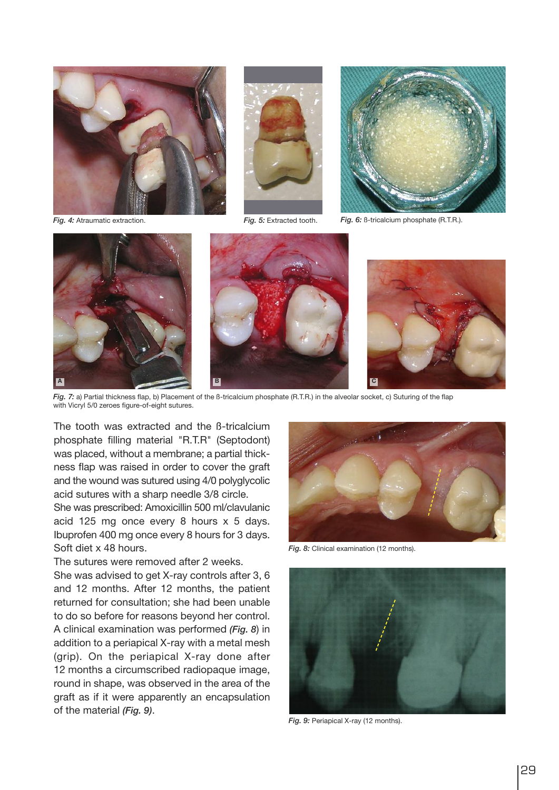





Fig. 4: Atraumatic extraction.

Fig. 5: Extracted tooth. Fig. 6: B-tricalcium phosphate (R.T.R.).







Fig. 7: a) Partial thickness flap, b) Placement of the ß-tricalcium phosphate (R.T.R.) in the alveolar socket, c) Suturing of the flap with Vicryl 5/0 zeroes figure-of-eight sutures.

The tooth was extracted and the ß-tricalcium phosphate filling material "R.T.R" (Septodont) was placed, without a membrane; a partial thickness flap was raised in order to cover the graft and the wound was sutured using 4/0 polyglycolic acid sutures with a sharp needle 3/8 circle.

She was prescribed: Amoxicillin 500 ml/clavulanic acid 125 mg once every 8 hours x 5 days. Ibuprofen 400 mg once every 8 hours for 3 days. Soft diet x 48 hours.

The sutures were removed after 2 weeks.

She was advised to get X-ray controls after 3, 6 and 12 months. After 12 months, the patient returned for consultation; she had been unable to do so before for reasons beyond her control. A clinical examination was performed (Fig. 8) in addition to a periapical X-ray with a metal mesh (grip). On the periapical X-ray done after 12 months a circumscribed radiopaque image, round in shape, was observed in the area of the graft as if it were apparently an encapsulation of the material (Fig. 9).



Fig. 8: Clinical examination (12 months).



Fig. 9: Periapical X-ray (12 months).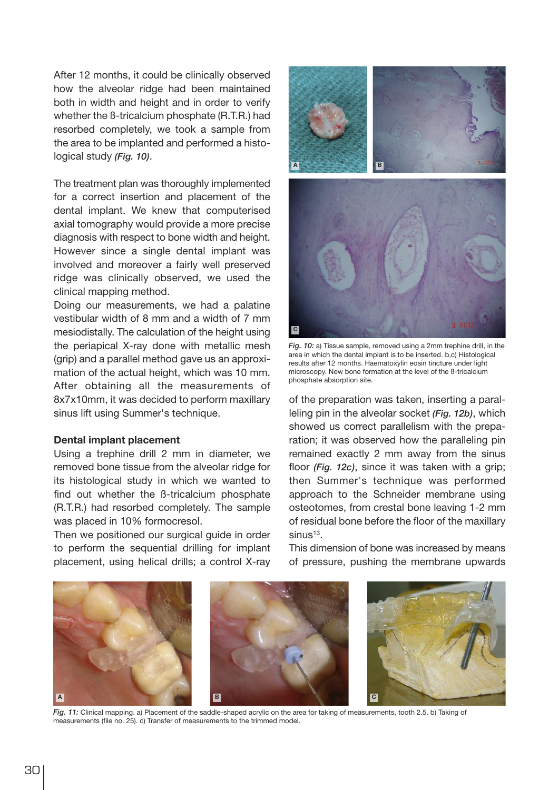After 12 months, it could be clinically observed how the alveolar ridge had been maintained both in width and height and in order to verify whether the ß-tricalcium phosphate (R.T.R.) had resorbed completely, we took a sample from the area to be implanted and performed a histological study (Fig. 10).

The treatment plan was thoroughly implemented for a correct insertion and placement of the dental implant. We knew that computerised axial tomography would provide a more precise diagnosis with respect to bone width and height. However since a single dental implant was involved and moreover a fairly well preserved ridge was clinically observed, we used the clinical mapping method.

Doing our measurements, we had a palatine vestibular width of 8 mm and a width of 7 mm mesiodistally. The calculation of the height using the periapical X-ray done with metallic mesh (grip) and a parallel method gave us an approximation of the actual height, which was 10 mm. After obtaining all the measurements of 8x7x10mm, it was decided to perform maxillary sinus lift using Summer's technique.

#### Dental implant placement

Using a trephine drill 2 mm in diameter, we removed bone tissue from the alveolar ridge for its histological study in which we wanted to find out whether the ß-tricalcium phosphate (R.T.R.) had resorbed completely. The sample was placed in 10% formocresol.

Then we positioned our surgical guide in order to perform the sequential drilling for implant placement, using helical drills; a control X-ray



Fig. 10: a) Tissue sample, removed using a 2mm trephine drill, in the area in which the dental implant is to be inserted. b,c) Histological results after 12 months. Haematoxylin eosin tincture under light microscopy. New bone formation at the level of the ß-tricalcium phosphate absorption site.

of the preparation was taken, inserting a paralleling pin in the alveolar socket (Fig. 12b), which showed us correct parallelism with the preparation; it was observed how the paralleling pin remained exactly 2 mm away from the sinus floor (Fig. 12c), since it was taken with a grip; then Summer's technique was performed approach to the Schneider membrane using osteotomes, from crestal bone leaving 1-2 mm of residual bone before the floor of the maxillary  $sinus<sup>13</sup>$ .

This dimension of bone was increased by means of pressure, pushing the membrane upwards



Fig. 11: Clinical mapping. a) Placement of the saddle-shaped acrylic on the area for taking of measurements, tooth 2.5. b) Taking of measurements (file no. 25). c) Transfer of measurements to the trimmed model.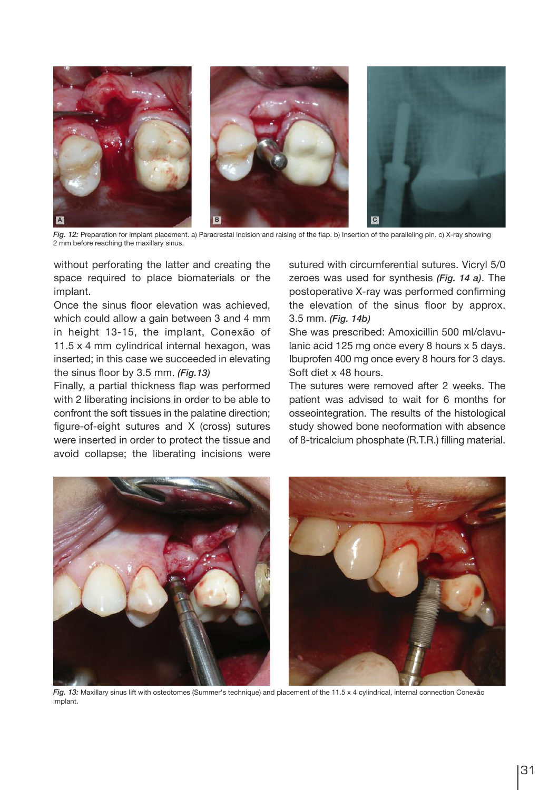

Fig. 12: Preparation for implant placement. a) Paracrestal incision and raising of the flap. b) Insertion of the paralleling pin. c) X-ray showing 2 mm before reaching the maxillary sinus.

without perforating the latter and creating the space required to place biomaterials or the implant.

Once the sinus floor elevation was achieved, which could allow a gain between 3 and 4 mm in height 13-15, the implant, Conexão of 11.5 x 4 mm cylindrical internal hexagon, was inserted; in this case we succeeded in elevating the sinus floor by 3.5 mm. (Fig.13)

Finally, a partial thickness flap was performed with 2 liberating incisions in order to be able to confront the soft tissues in the palatine direction; figure-of-eight sutures and X (cross) sutures were inserted in order to protect the tissue and avoid collapse; the liberating incisions were

sutured with circumferential sutures. Vicryl 5/0 zeroes was used for synthesis (Fig. 14 a). The postoperative X-ray was performed confirming the elevation of the sinus floor by approx. 3.5 mm. (Fig. 14b)

She was prescribed: Amoxicillin 500 ml/clavulanic acid 125 mg once every 8 hours x 5 days. Ibuprofen 400 mg once every 8 hours for 3 days. Soft diet x 48 hours.

The sutures were removed after 2 weeks. The patient was advised to wait for 6 months for osseointegration. The results of the histological study showed bone neoformation with absence of ß-tricalcium phosphate (R.T.R.) filling material.



Fig. 13: Maxillary sinus lift with osteotomes (Summer's technique) and placement of the 11.5 x 4 cylindrical, internal connection Conexão implant.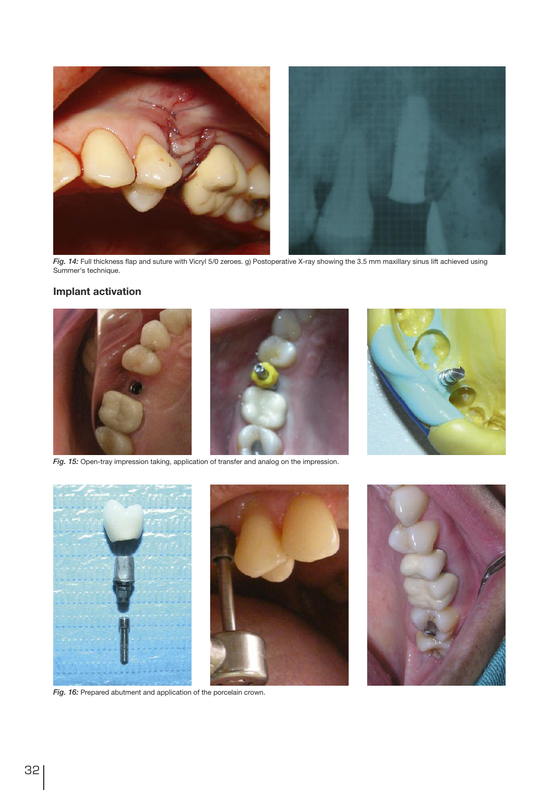

Fig. 14: Full thickness flap and suture with Vicryl 5/0 zeroes. g) Postoperative X-ray showing the 3.5 mm maxillary sinus lift achieved using Summer's technique.

#### Implant activation



Fig. 15: Open-tray impression taking, application of transfer and analog on the impression.





Fig. 16: Prepared abutment and application of the porcelain crown.

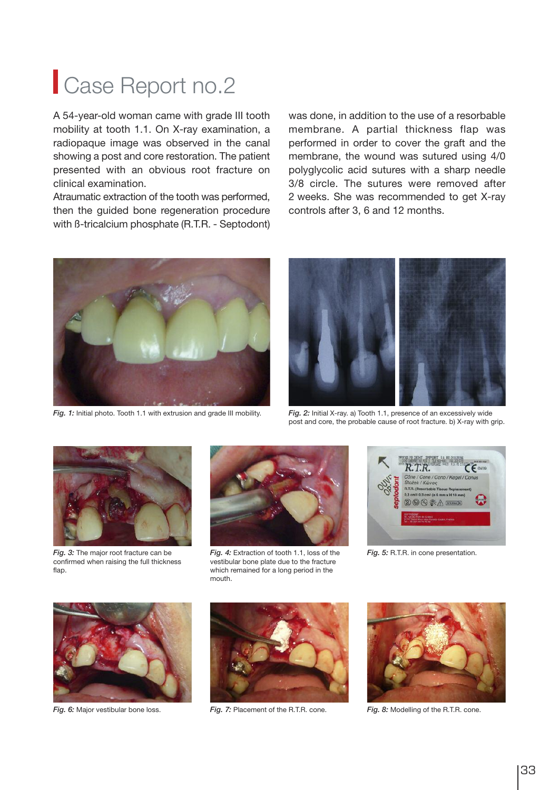### Case Report no.2

A 54-year-old woman came with grade III tooth mobility at tooth 1.1. On X-ray examination, a radiopaque image was observed in the canal showing a post and core restoration. The patient presented with an obvious root fracture on clinical examination.

Atraumatic extraction of the tooth was performed, then the guided bone regeneration procedure with ß-tricalcium phosphate (R.T.R. - Septodont)

was done, in addition to the use of a resorbable membrane. A partial thickness flap was performed in order to cover the graft and the membrane, the wound was sutured using 4/0 polyglycolic acid sutures with a sharp needle 3/8 circle. The sutures were removed after 2 weeks. She was recommended to get X-ray controls after 3, 6 and 12 months.



Fig. 1: Initial photo. Tooth 1.1 with extrusion and grade III mobility. Fig. 2: Initial X-ray. a) Tooth 1.1, presence of an excessively wide



post and core, the probable cause of root fracture. b) X-ray with grip.



Fig. 3: The major root fracture can be confirmed when raising the full thickness flap.



Fig. 4: Extraction of tooth 1.1, loss of the Fig. 5: R.T.R. in cone presentation. vestibular bone plate due to the fracture which remained for a long period in the mouth.







Fig. 6: Major vestibular bone loss. Fig. 7: Placement of the R.T.R. cone. Fig. 8: Modelling of the R.T.R. cone.

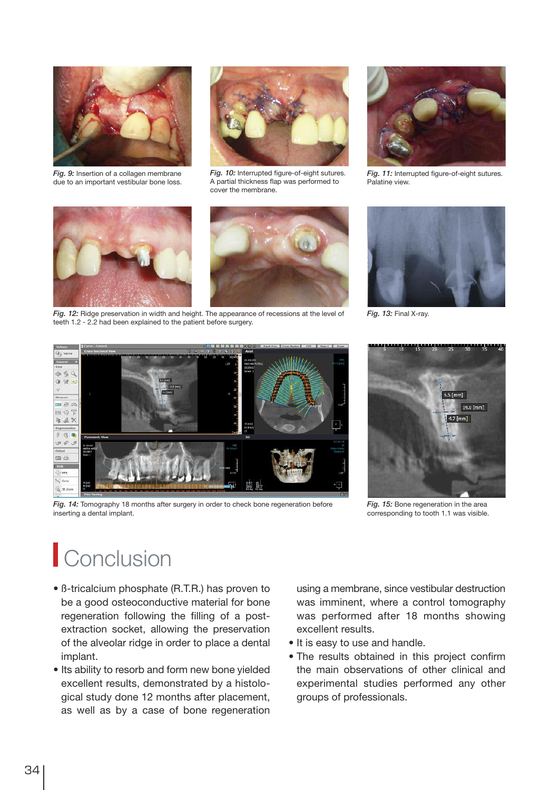

Fig. 9: Insertion of a collagen membrane due to an important vestibular bone loss.



Fig. 10: Interrupted figure-of-eight sutures. A partial thickness flap was performed to cover the membrane.



Fig. 11: Interrupted figure-of-eight sutures. Palatine view.





Fig. 12: Ridge preservation in width and height. The appearance of recessions at the level of Fig. 13: Final X-ray. teeth 1.2 - 2.2 had been explained to the patient before surgery.





Fig. 14: Tomography 18 months after surgery in order to check bone regeneration before inserting a dental implant.



Fig. 15: Bone regeneration in the area corresponding to tooth 1.1 was visible.

# **Conclusion**

- ß-tricalcium phosphate (R.T.R.) has proven to be a good osteoconductive material for bone regeneration following the filling of a postextraction socket, allowing the preservation of the alveolar ridge in order to place a dental implant.
- Its ability to resorb and form new bone yielded excellent results, demonstrated by a histological study done 12 months after placement, as well as by a case of bone regeneration

using a membrane, since vestibular destruction was imminent, where a control tomography was performed after 18 months showing excellent results.

- It is easy to use and handle.
- The results obtained in this project confirm the main observations of other clinical and experimental studies performed any other groups of professionals.